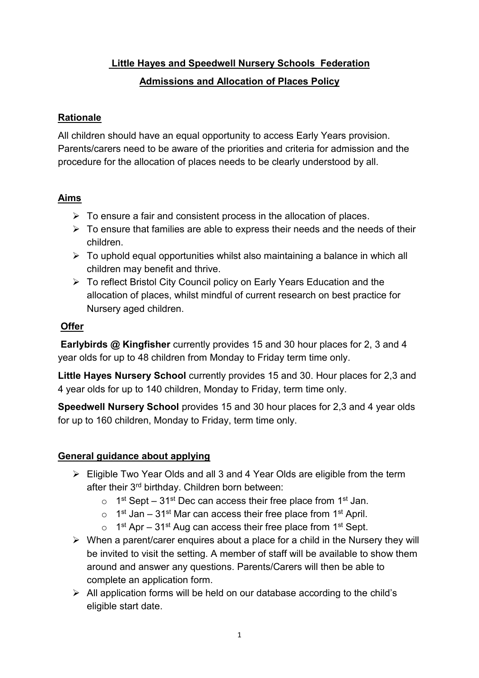# **Little Hayes and Speedwell Nursery Schools Federation Admissions and Allocation of Places Policy**

#### **Rationale**

All children should have an equal opportunity to access Early Years provision. Parents/carers need to be aware of the priorities and criteria for admission and the procedure for the allocation of places needs to be clearly understood by all.

## **Aims**

- $\triangleright$  To ensure a fair and consistent process in the allocation of places.
- $\triangleright$  To ensure that families are able to express their needs and the needs of their children.
- $\triangleright$  To uphold equal opportunities whilst also maintaining a balance in which all children may benefit and thrive.
- To reflect Bristol City Council policy on Early Years Education and the allocation of places, whilst mindful of current research on best practice for Nursery aged children.

#### **Offer**

**Earlybirds @ Kingfisher** currently provides 15 and 30 hour places for 2, 3 and 4 year olds for up to 48 children from Monday to Friday term time only.

**Little Hayes Nursery School** currently provides 15 and 30. Hour places for 2,3 and 4 year olds for up to 140 children, Monday to Friday, term time only.

**Speedwell Nursery School** provides 15 and 30 hour places for 2,3 and 4 year olds for up to 160 children, Monday to Friday, term time only.

## **General guidance about applying**

- $\triangleright$  Eligible Two Year Olds and all 3 and 4 Year Olds are eligible from the term after their 3rd birthday. Children born between:
	- $\circ$  1<sup>st</sup> Sept 31<sup>st</sup> Dec can access their free place from 1<sup>st</sup> Jan.
	- $\circ$  1<sup>st</sup> Jan 31<sup>st</sup> Mar can access their free place from 1<sup>st</sup> April.
	- $\circ$  1<sup>st</sup> Apr 31<sup>st</sup> Aug can access their free place from 1<sup>st</sup> Sept.
- $\triangleright$  When a parent/carer enquires about a place for a child in the Nursery they will be invited to visit the setting. A member of staff will be available to show them around and answer any questions. Parents/Carers will then be able to complete an application form.
- $\triangleright$  All application forms will be held on our database according to the child's eligible start date.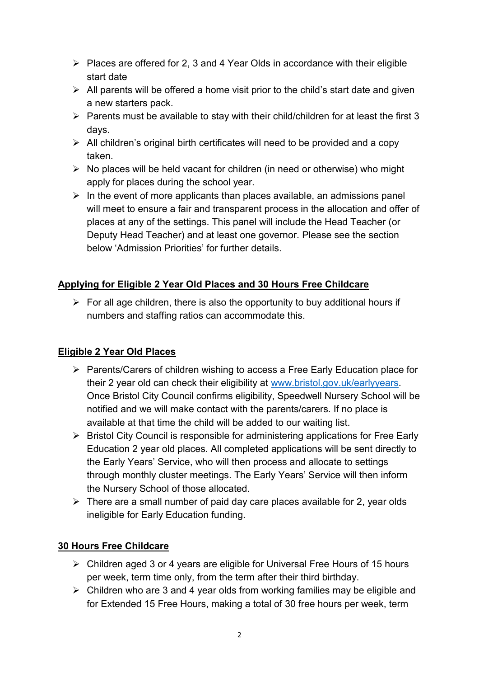- $\triangleright$  Places are offered for 2, 3 and 4 Year Olds in accordance with their eligible start date
- $\triangleright$  All parents will be offered a home visit prior to the child's start date and given a new starters pack.
- $\triangleright$  Parents must be available to stay with their child/children for at least the first 3 days.
- $\triangleright$  All children's original birth certificates will need to be provided and a copy taken.
- $\triangleright$  No places will be held vacant for children (in need or otherwise) who might apply for places during the school year.
- $\triangleright$  In the event of more applicants than places available, an admissions panel will meet to ensure a fair and transparent process in the allocation and offer of places at any of the settings. This panel will include the Head Teacher (or Deputy Head Teacher) and at least one governor. Please see the section below 'Admission Priorities' for further details.

## **Applying for Eligible 2 Year Old Places and 30 Hours Free Childcare**

 $\triangleright$  For all age children, there is also the opportunity to buy additional hours if numbers and staffing ratios can accommodate this.

## **Eligible 2 Year Old Places**

- ▶ Parents/Carers of children wishing to access a Free Early Education place for their 2 year old can check their eligibility at [www.bristol.gov.uk/earlyyears.](http://www.bristol.gov.uk/earlyyears) Once Bristol City Council confirms eligibility, Speedwell Nursery School will be notified and we will make contact with the parents/carers. If no place is available at that time the child will be added to our waiting list.
- $\triangleright$  Bristol City Council is responsible for administering applications for Free Early Education 2 year old places. All completed applications will be sent directly to the Early Years' Service, who will then process and allocate to settings through monthly cluster meetings. The Early Years' Service will then inform the Nursery School of those allocated.
- $\triangleright$  There are a small number of paid day care places available for 2, year olds ineligible for Early Education funding.

## **30 Hours Free Childcare**

- Children aged 3 or 4 years are eligible for Universal Free Hours of 15 hours per week, term time only, from the term after their third birthday.
- $\triangleright$  Children who are 3 and 4 year olds from working families may be eligible and for Extended 15 Free Hours, making a total of 30 free hours per week, term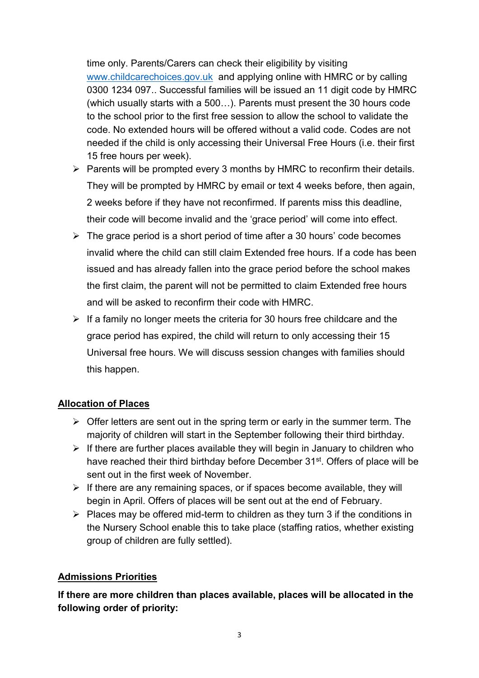time only. Parents/Carers can check their eligibility by visiting [www.childcarechoices.gov.uk](http://www.childcarechoices.gov.uk/) and applying online with HMRC or by calling 0300 1234 097.. Successful families will be issued an 11 digit code by HMRC (which usually starts with a 500…). Parents must present the 30 hours code to the school prior to the first free session to allow the school to validate the code. No extended hours will be offered without a valid code. Codes are not needed if the child is only accessing their Universal Free Hours (i.e. their first 15 free hours per week).

- $\triangleright$  Parents will be prompted every 3 months by HMRC to reconfirm their details. They will be prompted by HMRC by email or text 4 weeks before, then again, 2 weeks before if they have not reconfirmed. If parents miss this deadline, their code will become invalid and the 'grace period' will come into effect.
- $\triangleright$  The grace period is a short period of time after a 30 hours' code becomes invalid where the child can still claim Extended free hours. If a code has been issued and has already fallen into the grace period before the school makes the first claim, the parent will not be permitted to claim Extended free hours and will be asked to reconfirm their code with HMRC.
- $\triangleright$  If a family no longer meets the criteria for 30 hours free childcare and the grace period has expired, the child will return to only accessing their 15 Universal free hours. We will discuss session changes with families should this happen.

## **Allocation of Places**

- $\triangleright$  Offer letters are sent out in the spring term or early in the summer term. The majority of children will start in the September following their third birthday.
- $\triangleright$  If there are further places available they will begin in January to children who have reached their third birthday before December 31<sup>st</sup>. Offers of place will be sent out in the first week of November.
- $\triangleright$  If there are any remaining spaces, or if spaces become available, they will begin in April. Offers of places will be sent out at the end of February.
- $\triangleright$  Places may be offered mid-term to children as they turn 3 if the conditions in the Nursery School enable this to take place (staffing ratios, whether existing group of children are fully settled).

## **Admissions Priorities**

**If there are more children than places available, places will be allocated in the following order of priority:**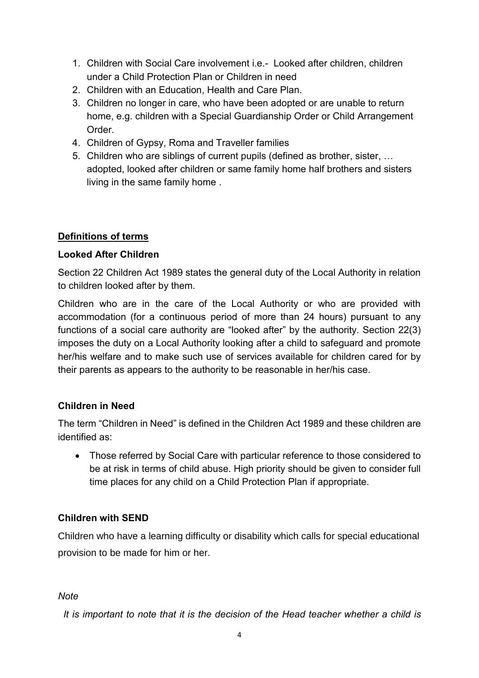- 1. Children with Social Care involvement i.e.- Looked after children, children under a Child Protection Plan or Children in need
- 2. Children with an Education, Health and Care Plan.
- 3. Children no longer in care, who have been adopted or are unable to return home, e.g. children with a Special Guardianship Order or Child Arrangement Order.
- 4. Children of Gypsy, Roma and Traveller families
- 5. Children who are siblings of current pupils (defined as brother, sister, … adopted, looked after children or same family home half brothers and sisters living in the same family home .

#### **Definitions of terms**

#### **Looked After Children**

Section 22 Children Act 1989 states the general duty of the Local Authority in relation to children looked after by them.

Children who are in the care of the Local Authority or who are provided with accommodation (for a continuous period of more than 24 hours) pursuant to any functions of a social care authority are "looked after" by the authority. Section 22(3) imposes the duty on a Local Authority looking after a child to safeguard and promote her/his welfare and to make such use of services available for children cared for by their parents as appears to the authority to be reasonable in her/his case.

#### **Children in Need**

The term "Children in Need" is defined in the Children Act 1989 and these children are identified as:

 Those referred by Social Care with particular reference to those considered to be at risk in terms of child abuse. High priority should be given to consider full time places for any child on a Child Protection Plan if appropriate.

#### **Children with SEND**

Children who have a learning difficulty or disability which calls for special educational provision to be made for him or her.

#### *Note*

 *It is important to note that it is the decision of the Head teacher whether a child is*